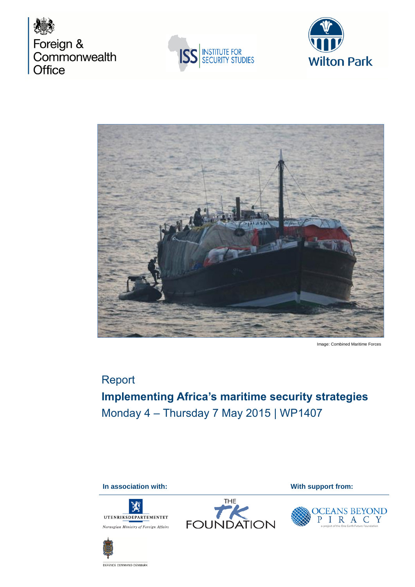







Image: Combined Maritime Forces

# Report **Implementing Africa's maritime security strategies** Monday 4 – Thursday 7 May 2015 | WP1407

**In association with: With support from: With support from:** 





OCEANS BEYOND<br>P I R A C Y



DEFENCE COMMAND DENMARK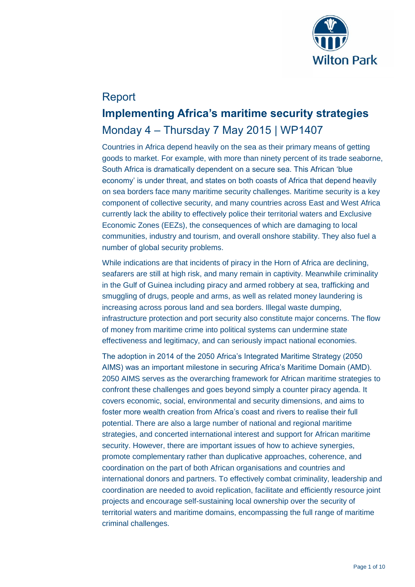

# Report **Implementing Africa's maritime security strategies** Monday 4 – Thursday 7 May 2015 | WP1407

Countries in Africa depend heavily on the sea as their primary means of getting goods to market. For example, with more than ninety percent of its trade seaborne, South Africa is dramatically dependent on a secure sea. This African 'blue economy' is under threat, and states on both coasts of Africa that depend heavily on sea borders face many maritime security challenges. Maritime security is a key component of collective security, and many countries across East and West Africa currently lack the ability to effectively police their territorial waters and Exclusive Economic Zones (EEZs), the consequences of which are damaging to local communities, industry and tourism, and overall onshore stability. They also fuel a number of global security problems.

While indications are that incidents of piracy in the Horn of Africa are declining, seafarers are still at high risk, and many remain in captivity. Meanwhile criminality in the Gulf of Guinea including piracy and armed robbery at sea, trafficking and smuggling of drugs, people and arms, as well as related money laundering is increasing across porous land and sea borders. Illegal waste dumping, infrastructure protection and port security also constitute major concerns. The flow of money from maritime crime into political systems can undermine state effectiveness and legitimacy, and can seriously impact national economies.

The adoption in 2014 of the 2050 Africa's Integrated Maritime Strategy (2050 AIMS) was an important milestone in securing Africa's Maritime Domain (AMD). 2050 AIMS serves as the overarching framework for African maritime strategies to confront these challenges and goes beyond simply a counter piracy agenda. It covers economic, social, environmental and security dimensions, and aims to foster more wealth creation from Africa's coast and rivers to realise their full potential. There are also a large number of national and regional maritime strategies, and concerted international interest and support for African maritime security. However, there are important issues of how to achieve synergies, promote complementary rather than duplicative approaches, coherence, and coordination on the part of both African organisations and countries and international donors and partners. To effectively combat criminality, leadership and coordination are needed to avoid replication, facilitate and efficiently resource joint projects and encourage self-sustaining local ownership over the security of territorial waters and maritime domains, encompassing the full range of maritime criminal challenges.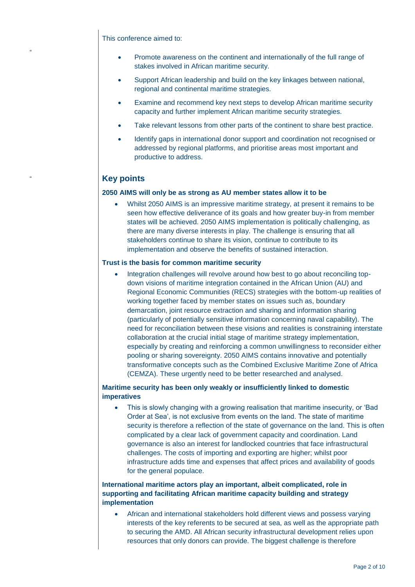This conference aimed to:

"

- Promote awareness on the continent and internationally of the full range of stakes involved in African maritime security.
- Support African leadership and build on the key linkages between national, regional and continental maritime strategies.
- Examine and recommend key next steps to develop African maritime security capacity and further implement African maritime security strategies.
- Take relevant lessons from other parts of the continent to share best practice.
- Identify gaps in international donor support and coordination not recognised or addressed by regional platforms, and prioritise areas most important and productive to address.

# **Key points**

#### **2050 AIMS will only be as strong as AU member states allow it to be**

 Whilst 2050 AIMS is an impressive maritime strategy, at present it remains to be seen how effective deliverance of its goals and how greater buy-in from member states will be achieved. 2050 AIMS implementation is politically challenging, as there are many diverse interests in play. The challenge is ensuring that all stakeholders continue to share its vision, continue to contribute to its implementation and observe the benefits of sustained interaction.

### **Trust is the basis for common maritime security**

 Integration challenges will revolve around how best to go about reconciling topdown visions of maritime integration contained in the African Union (AU) and Regional Economic Communities (RECS) strategies with the bottom-up realities of working together faced by member states on issues such as, boundary demarcation, joint resource extraction and sharing and information sharing (particularly of potentially sensitive information concerning naval capability). The need for reconciliation between these visions and realities is constraining interstate collaboration at the crucial initial stage of maritime strategy implementation, especially by creating and reinforcing a common unwillingness to reconsider either pooling or sharing sovereignty. 2050 AIMS contains innovative and potentially transformative concepts such as the Combined Exclusive Maritime Zone of Africa (CEMZA). These urgently need to be better researched and analysed.

## **Maritime security has been only weakly or insufficiently linked to domestic imperatives**

 This is slowly changing with a growing realisation that maritime insecurity, or 'Bad Order at Sea', is not exclusive from events on the land. The state of maritime security is therefore a reflection of the state of governance on the land. This is often complicated by a clear lack of government capacity and coordination. Land governance is also an interest for landlocked countries that face infrastructural challenges. The costs of importing and exporting are higher; whilst poor infrastructure adds time and expenses that affect prices and availability of goods for the general populace.

# **International maritime actors play an important, albeit complicated, role in supporting and facilitating African maritime capacity building and strategy implementation**

 African and international stakeholders hold different views and possess varying interests of the key referents to be secured at sea, as well as the appropriate path to securing the AMD. All African security infrastructural development relies upon resources that only donors can provide. The biggest challenge is therefore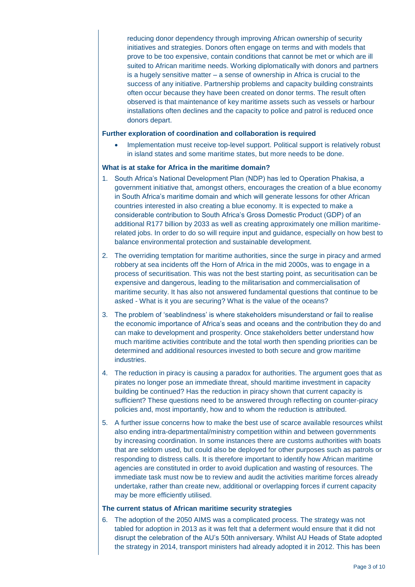reducing donor dependency through improving African ownership of security initiatives and strategies. Donors often engage on terms and with models that prove to be too expensive, contain conditions that cannot be met or which are ill suited to African maritime needs. Working diplomatically with donors and partners is a hugely sensitive matter – a sense of ownership in Africa is crucial to the success of any initiative. Partnership problems and capacity building constraints often occur because they have been created on donor terms. The result often observed is that maintenance of key maritime assets such as vessels or harbour installations often declines and the capacity to police and patrol is reduced once donors depart.

#### **Further exploration of coordination and collaboration is required**

 Implementation must receive top-level support. Political support is relatively robust in island states and some maritime states, but more needs to be done.

#### **What is at stake for Africa in the maritime domain?**

- 1. South Africa's National Development Plan (NDP) has led to Operation Phakisa, a government initiative that, amongst others, encourages the creation of a blue economy in South Africa's maritime domain and which will generate lessons for other African countries interested in also creating a blue economy. It is expected to make a considerable contribution to South Africa's Gross Domestic Product (GDP) of an additional R177 billion by 2033 as well as creating approximately one million maritimerelated jobs. In order to do so will require input and guidance, especially on how best to balance environmental protection and sustainable development.
- 2. The overriding temptation for maritime authorities, since the surge in piracy and armed robbery at sea incidents off the Horn of Africa in the mid 2000s, was to engage in a process of securitisation. This was not the best starting point, as securitisation can be expensive and dangerous, leading to the militarisation and commercialisation of maritime security. It has also not answered fundamental questions that continue to be asked - What is it you are securing? What is the value of the oceans?
- 3. The problem of 'seablindness' is where stakeholders misunderstand or fail to realise the economic importance of Africa's seas and oceans and the contribution they do and can make to development and prosperity. Once stakeholders better understand how much maritime activities contribute and the total worth then spending priorities can be determined and additional resources invested to both secure and grow maritime industries.
- 4. The reduction in piracy is causing a paradox for authorities. The argument goes that as pirates no longer pose an immediate threat, should maritime investment in capacity building be continued? Has the reduction in piracy shown that current capacity is sufficient? These questions need to be answered through reflecting on counter-piracy policies and, most importantly, how and to whom the reduction is attributed.
- 5. A further issue concerns how to make the best use of scarce available resources whilst also ending intra-departmental/ministry competition within and between governments by increasing coordination. In some instances there are customs authorities with boats that are seldom used, but could also be deployed for other purposes such as patrols or responding to distress calls. It is therefore important to identify how African maritime agencies are constituted in order to avoid duplication and wasting of resources. The immediate task must now be to review and audit the activities maritime forces already undertake, rather than create new, additional or overlapping forces if current capacity may be more efficiently utilised.

#### **The current status of African maritime security strategies**

6. The adoption of the 2050 AIMS was a complicated process. The strategy was not tabled for adoption in 2013 as it was felt that a deferment would ensure that it did not disrupt the celebration of the AU's 50th anniversary. Whilst AU Heads of State adopted the strategy in 2014, transport ministers had already adopted it in 2012. This has been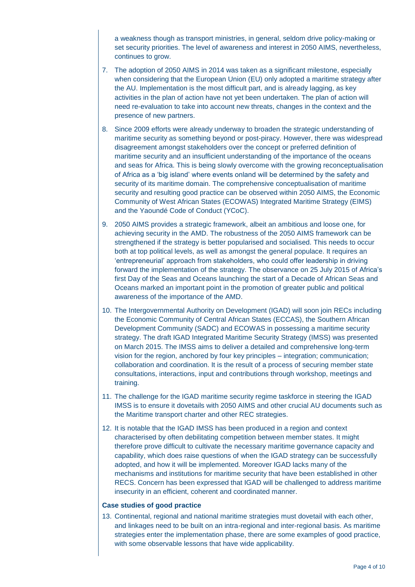a weakness though as transport ministries, in general, seldom drive policy-making or set security priorities. The level of awareness and interest in 2050 AIMS, nevertheless, continues to grow.

- 7. The adoption of 2050 AIMS in 2014 was taken as a significant milestone, especially when considering that the European Union (EU) only adopted a maritime strategy after the AU. Implementation is the most difficult part, and is already lagging, as key activities in the plan of action have not yet been undertaken. The plan of action will need re-evaluation to take into account new threats, changes in the context and the presence of new partners.
- 8. Since 2009 efforts were already underway to broaden the strategic understanding of maritime security as something beyond or post-piracy. However, there was widespread disagreement amongst stakeholders over the concept or preferred definition of maritime security and an insufficient understanding of the importance of the oceans and seas for Africa. This is being slowly overcome with the growing reconceptualisation of Africa as a 'big island' where events onland will be determined by the safety and security of its maritime domain. The comprehensive conceptualisation of maritime security and resulting good practice can be observed within 2050 AIMS, the Economic Community of West African States (ECOWAS) Integrated Maritime Strategy (EIMS) and the Yaoundé Code of Conduct (YCoC).
- 9. 2050 AIMS provides a strategic framework, albeit an ambitious and loose one, for achieving security in the AMD. The robustness of the 2050 AIMS framework can be strengthened if the strategy is better popularised and socialised. This needs to occur both at top political levels, as well as amongst the general populace. It requires an 'entrepreneurial' approach from stakeholders, who could offer leadership in driving forward the implementation of the strategy. The observance on 25 July 2015 of Africa's first Day of the Seas and Oceans launching the start of a Decade of African Seas and Oceans marked an important point in the promotion of greater public and political awareness of the importance of the AMD.
- 10. The Intergovernmental Authority on Development (IGAD) will soon join RECs including the Economic Community of Central African States (ECCAS), the Southern African Development Community (SADC) and ECOWAS in possessing a maritime security strategy. The draft IGAD Integrated Maritime Security Strategy (IMSS) was presented on March 2015. The IMSS aims to deliver a detailed and comprehensive long-term vision for the region, anchored by four key principles – integration; communication; collaboration and coordination. It is the result of a process of securing member state consultations, interactions, input and contributions through workshop, meetings and training.
- 11. The challenge for the IGAD maritime security regime taskforce in steering the IGAD IMSS is to ensure it dovetails with 2050 AIMS and other crucial AU documents such as the Maritime transport charter and other REC strategies.
- 12. It is notable that the IGAD IMSS has been produced in a region and context characterised by often debilitating competition between member states. It might therefore prove difficult to cultivate the necessary maritime governance capacity and capability, which does raise questions of when the IGAD strategy can be successfully adopted, and how it will be implemented. Moreover IGAD lacks many of the mechanisms and institutions for maritime security that have been established in other RECS. Concern has been expressed that IGAD will be challenged to address maritime insecurity in an efficient, coherent and coordinated manner.

#### **Case studies of good practice**

13. Continental, regional and national maritime strategies must dovetail with each other, and linkages need to be built on an intra-regional and inter-regional basis. As maritime strategies enter the implementation phase, there are some examples of good practice, with some observable lessons that have wide applicability.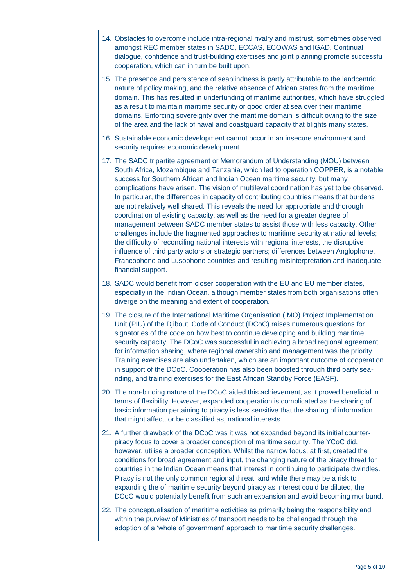- 14. Obstacles to overcome include intra-regional rivalry and mistrust, sometimes observed amongst REC member states in SADC, ECCAS, ECOWAS and IGAD. Continual dialogue, confidence and trust-building exercises and joint planning promote successful cooperation, which can in turn be built upon.
- 15. The presence and persistence of seablindness is partly attributable to the landcentric nature of policy making, and the relative absence of African states from the maritime domain. This has resulted in underfunding of maritime authorities, which have struggled as a result to maintain maritime security or good order at sea over their maritime domains. Enforcing sovereignty over the maritime domain is difficult owing to the size of the area and the lack of naval and coastguard capacity that blights many states.
- 16. Sustainable economic development cannot occur in an insecure environment and security requires economic development.
- 17. The SADC tripartite agreement or Memorandum of Understanding (MOU) between South Africa, Mozambique and Tanzania, which led to operation COPPER, is a notable success for Southern African and Indian Ocean maritime security, but many complications have arisen. The vision of multilevel coordination has yet to be observed. In particular, the differences in capacity of contributing countries means that burdens are not relatively well shared. This reveals the need for appropriate and thorough coordination of existing capacity, as well as the need for a greater degree of management between SADC member states to assist those with less capacity. Other challenges include the fragmented approaches to maritime security at national levels; the difficulty of reconciling national interests with regional interests, the disruptive influence of third party actors or strategic partners; differences between Anglophone, Francophone and Lusophone countries and resulting misinterpretation and inadequate financial support.
- 18. SADC would benefit from closer cooperation with the EU and EU member states, especially in the Indian Ocean, although member states from both organisations often diverge on the meaning and extent of cooperation.
- 19. The closure of the International Maritime Organisation (IMO) Project Implementation Unit (PIU) of the Djibouti Code of Conduct (DCoC) raises numerous questions for signatories of the code on how best to continue developing and building maritime security capacity. The DCoC was successful in achieving a broad regional agreement for information sharing, where regional ownership and management was the priority. Training exercises are also undertaken, which are an important outcome of cooperation in support of the DCoC. Cooperation has also been boosted through third party seariding, and training exercises for the East African Standby Force (EASF).
- 20. The non-binding nature of the DCoC aided this achievement, as it proved beneficial in terms of flexibility. However, expanded cooperation is complicated as the sharing of basic information pertaining to piracy is less sensitive that the sharing of information that might affect, or be classified as, national interests.
- 21. A further drawback of the DCoC was it was not expanded beyond its initial counterpiracy focus to cover a broader conception of maritime security. The YCoC did, however, utilise a broader conception. Whilst the narrow focus, at first, created the conditions for broad agreement and input, the changing nature of the piracy threat for countries in the Indian Ocean means that interest in continuing to participate dwindles. Piracy is not the only common regional threat, and while there may be a risk to expanding the of maritime security beyond piracy as interest could be diluted, the DCoC would potentially benefit from such an expansion and avoid becoming moribund.
- 22. The conceptualisation of maritime activities as primarily being the responsibility and within the purview of Ministries of transport needs to be challenged through the adoption of a 'whole of government' approach to maritime security challenges.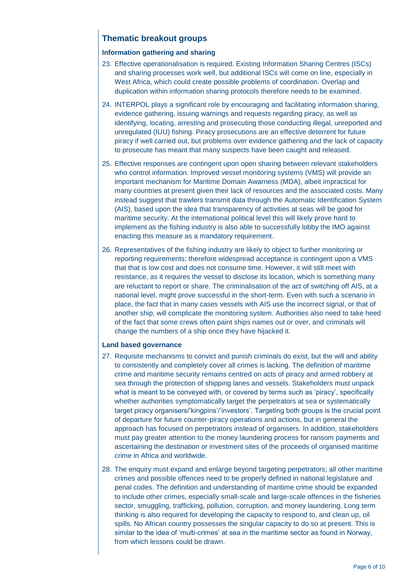# **Thematic breakout groups**

# **Information gathering and sharing**

- 23. Effective operationalisation is required. Existing Information Sharing Centres (ISCs) and sharing processes work well, but additional ISCs will come on line, especially in West Africa, which could create possible problems of coordination. Overlap and duplication within information sharing protocols therefore needs to be examined.
- 24. INTERPOL plays a significant role by encouraging and facilitating information sharing, evidence gathering, issuing warnings and requests regarding piracy, as well as identifying, locating, arresting and prosecuting those conducting illegal, unreported and unregulated (IUU) fishing. Piracy prosecutions are an effective deterrent for future piracy if well carried out, but problems over evidence gathering and the lack of capacity to prosecute has meant that many suspects have been caught and released.
- 25. Effective responses are contingent upon open sharing between relevant stakeholders who control information. Improved vessel monitoring systems (VMS) will provide an important mechanism for Maritime Domain Awarness (MDA), albeit impractical for many countries at present given their lack of resources and the associated costs. Many instead suggest that trawlers transmit data through the Automatic Identification System (AIS), based upon the idea that transparency of activities at seas will be good for maritime security. At the international political level this will likely prove hard to implement as the fishing industry is also able to successfully lobby the IMO against enacting this measure as a mandatory requirement.
- 26. Representatives of the fishing industry are likely to object to further monitoring or reporting requirements; therefore widespread acceptance is contingent upon a VMS that that is low cost and does not consume time. However, it will still meet with resistance, as it requires the vessel to disclose its location, which is something many are reluctant to report or share. The criminalisation of the act of switching off AIS, at a national level, might prove successful in the short-term. Even with such a scenario in place, the fact that in many cases vessels with AIS use the incorrect signal, or that of another ship, will complicate the monitoring system. Authorities also need to take heed of the fact that some crews often paint ships names out or over, and criminals will change the numbers of a ship once they have hijacked it.

## **Land based governance**

- 27. Requisite mechanisms to convict and punish criminals do exist, but the will and ability to consistently and completely cover all crimes is lacking. The definition of maritime crime and maritime security remains centred on acts of piracy and armed robbery at sea through the protection of shipping lanes and vessels. Stakeholders must unpack what is meant to be conveyed with, or covered by terms such as 'piracy', specifically whether authorities symptomatically target the perpetrators at sea or systematically target piracy organisers/'kingpins'/'investors'. Targeting both groups is the crucial point of departure for future counter-piracy operations and actions, but in general the approach has focused on perpetrators instead of organisers. In addition, stakeholders must pay greater attention to the money laundering process for ransom payments and ascertaining the destination or investment sites of the proceeds of organised maritime crime in Africa and worldwide.
- 28. The enquiry must expand and enlarge beyond targeting perpetrators; all other maritime crimes and possible offences need to be properly defined in national legislature and penal codes. The definition and understanding of maritime crime should be expanded to include other crimes, especially small-scale and large-scale offences in the fisheries sector, smuggling, trafficking, pollution, corruption, and money laundering. Long term thinking is also required for developing the capacity to respond to, and clean up, oil spills. No African country possesses the singular capacity to do so at present. This is similar to the idea of 'multi-crimes' at sea in the maritime sector as found in Norway, from which lessons could be drawn.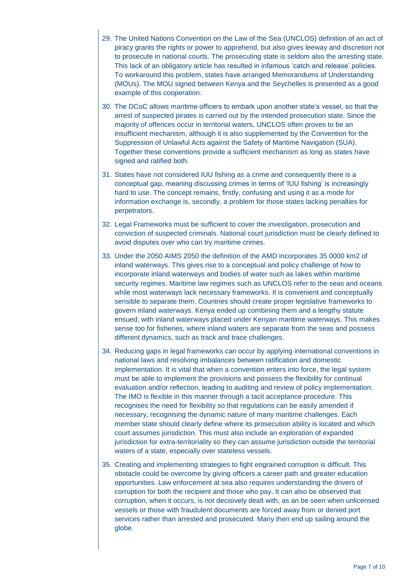- 29. The United Nations Convention on the Law of the Sea (UNCLOS) definition of an act of piracy grants the rights or power to apprehend, but also gives leeway and discretion not to prosecute in national courts. The prosecuting state is seldom also the arresting state. This lack of an obligatory article has resulted in infamous 'catch and release' policies. To workaround this problem, states have arranged Memorandums of Understanding (MOUs). The MOU signed between Kenya and the Seychelles is presented as a good example of this cooperation.
- 30. The DCoC allows maritime officers to embark upon another state's vessel, so that the arrest of suspected pirates is carried out by the intended prosecution state. Since the majority of offences occur in territorial waters, UNCLOS often proves to be an insufficient mechanism, although it is also supplemented by the Convention for the Suppression of Unlawful Acts against the Safety of Maritime Navigation (SUA). Together these conventions provide a sufficient mechanism as long as states have signed and ratified both.
- 31. States have not considered IUU fishing as a crime and consequently there is a conceptual gap, meaning discussing crimes in terms of 'IUU fishing' is increasingly hard to use. The concept remains, firstly, confusing and using it as a mode for information exchange is, secondly, a problem for those states lacking penalties for perpetrators.
- 32. Legal Frameworks must be sufficient to cover the investigation, prosecution and conviction of suspected criminals. National court jurisdiction must be clearly defined to avoid disputes over who can try maritime crimes.
- 33. Under the 2050 AIMS 2050 the definition of the AMD incorporates 35 0000 km2 of inland waterways. This gives rise to a conceptual and policy challenge of how to incorporate inland waterways and bodies of water such as lakes within maritime security regimes. Maritime law regimes such as UNCLOS refer to the seas and oceans while most waterways lack necessary frameworks. It is convenient and conceptually sensible to separate them. Countries should create proper legislative frameworks to govern inland waterways. Kenya ended up combining them and a lengthy statute ensued, with inland waterways placed under Kenyan maritime waterways. This makes sense too for fisheries, where inland waters are separate from the seas and possess different dynamics, such as track and trace challenges.
- 34. Reducing gaps in legal frameworks can occur by applying international conventions in national laws and resolving imbalances between ratification and domestic implementation. It is vital that when a convention enters into force, the legal system must be able to implement the provisions and possess the flexibility for continual evaluation and/or reflection, leading to auditing and review of policy implementation. The IMO is flexible in this manner through a tacit acceptance procedure. This recognises the need for flexibility so that regulations can be easily amended if necessary, recognising the dynamic nature of many maritime challenges. Each member state should clearly define where its prosecution ability is located and which court assumes jurisdiction. This must also include an exploration of expanded jurisdiction for extra-territoriality so they can assume jurisdiction outside the territorial waters of a state, especially over stateless vessels.
- 35. Creating and implementing strategies to fight engrained corruption is difficult. This obstacle could be overcome by giving officers a career path and greater education opportunities. Law enforcement at sea also requires understanding the drivers of corruption for both the recipient and those who pay. It can also be observed that corruption, when it occurs, is not decisively dealt with, as an be seen when unlicensed vessels or those with fraudulent documents are forced away from or denied port services rather than arrested and prosecuted. Many then end up sailing around the globe.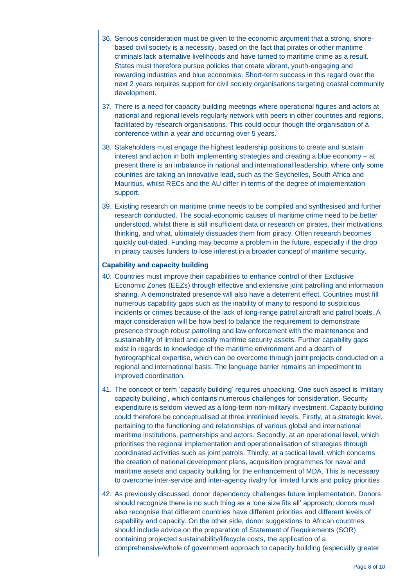- 36. Serious consideration must be given to the economic argument that a strong, shorebased civil society is a necessity, based on the fact that pirates or other maritime criminals lack alternative livelihoods and have turned to maritime crime as a result. States must therefore pursue policies that create vibrant, youth-engaging and rewarding industries and blue economies. Short-term success in this regard over the next 2 years requires support for civil society organisations targeting coastal community development.
- 37. There is a need for capacity building meetings where operational figures and actors at national and regional levels regularly network with peers in other countries and regions, facilitated by research organisations. This could occur though the organisation of a conference within a year and occurring over 5 years.
- 38. Stakeholders must engage the highest leadership positions to create and sustain interest and action in both implementing strategies and creating a blue economy – at present there is an imbalance in national and international leadership, where only some countries are taking an innovative lead, such as the Seychelles, South Africa and Mauritius, whilst RECs and the AU differ in terms of the degree of implementation support.
- 39. Existing research on maritime crime needs to be compiled and synthesised and further research conducted. The social-economic causes of maritime crime need to be better understood, whilst there is still insufficient data or research on pirates, their motivations, thinking, and what, ultimately dissuades them from piracy. Often research becomes quickly out-dated. Funding may become a problem in the future, especially if the drop in piracy causes funders to lose interest in a broader concept of maritime security.

## **Capability and capacity building**

- 40. Countries must improve their capabilities to enhance control of their Exclusive Economic Zones (EEZs) through effective and extensive joint patrolling and information sharing. A demonstrated presence will also have a deterrent effect. Countries must fill numerous capability gaps such as the inability of many to respond to suspicious incidents or crimes because of the lack of long-range patrol aircraft and patrol boats. A major consideration will be how best to balance the requirement to demonstrate presence through robust patrolling and law enforcement with the maintenance and sustainability of limited and costly maritime security assets. Further capability gaps exist in regards to knowledge of the maritime environment and a dearth of hydrographical expertise, which can be overcome through joint projects conducted on a regional and international basis. The language barrier remains an impediment to improved coordination.
- 41. The concept or term 'capacity building' requires unpacking. One such aspect is 'military capacity building', which contains numerous challenges for consideration. Security expenditure is seldom viewed as a long-term non-military investment. Capacity building could therefore be conceptualised at three interlinked levels. Firstly, at a strategic level, pertaining to the functioning and relationships of various global and international maritime institutions, partnerships and actors. Secondly, at an operational level, which prioritises the regional implementation and operationalisation of strategies through coordinated activities such as joint patrols. Thirdly, at a tactical level, which concerns the creation of national development plans, acquisition programmes for naval and maritime assets and capacity building for the enhancement of MDA. This is necessary to overcome inter-service and inter-agency rivalry for limited funds and policy priorities
- 42. As previously discussed, donor dependency challenges future implementation. Donors should recognize there is no such thing as a 'one size fits all' approach; donors must also recognise that different countries have different priorities and different levels of capability and capacity. On the other side, donor suggestions to African countries should include advice on the preparation of Statement of Requirements (SOR) containing projected sustainability/lifecycle costs, the application of a comprehensive/whole of government approach to capacity building (especially greater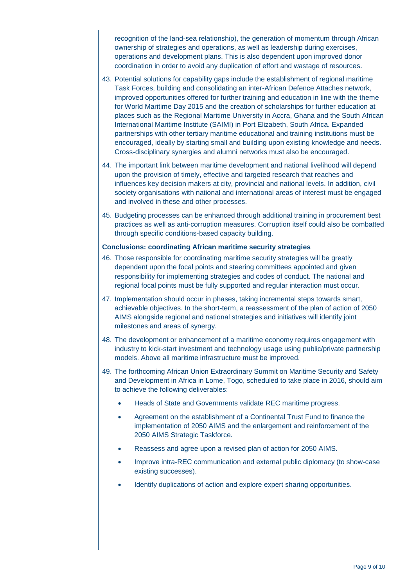recognition of the land-sea relationship), the generation of momentum through African ownership of strategies and operations, as well as leadership during exercises, operations and development plans. This is also dependent upon improved donor coordination in order to avoid any duplication of effort and wastage of resources.

- 43. Potential solutions for capability gaps include the establishment of regional maritime Task Forces, building and consolidating an inter-African Defence Attaches network, improved opportunities offered for further training and education in line with the theme for World Maritime Day 2015 and the creation of scholarships for further education at places such as the Regional Maritime University in Accra, Ghana and the South African International Maritime Institute (SAIMI) in Port Elizabeth, South Africa. Expanded partnerships with other tertiary maritime educational and training institutions must be encouraged, ideally by starting small and building upon existing knowledge and needs. Cross-disciplinary synergies and alumni networks must also be encouraged.
- 44. The important link between maritime development and national livelihood will depend upon the provision of timely, effective and targeted research that reaches and influences key decision makers at city, provincial and national levels. In addition, civil society organisations with national and international areas of interest must be engaged and involved in these and other processes.
- 45. Budgeting processes can be enhanced through additional training in procurement best practices as well as anti-corruption measures. Corruption itself could also be combatted through specific conditions-based capacity building.

#### **Conclusions: coordinating African maritime security strategies**

- 46. Those responsible for coordinating maritime security strategies will be greatly dependent upon the focal points and steering committees appointed and given responsibility for implementing strategies and codes of conduct. The national and regional focal points must be fully supported and regular interaction must occur.
- 47. Implementation should occur in phases, taking incremental steps towards smart, achievable objectives. In the short-term, a reassessment of the plan of action of 2050 AIMS alongside regional and national strategies and initiatives will identify joint milestones and areas of synergy.
- 48. The development or enhancement of a maritime economy requires engagement with industry to kick-start investment and technology usage using public/private partnership models. Above all maritime infrastructure must be improved.
- 49. The forthcoming African Union Extraordinary Summit on Maritime Security and Safety and Development in Africa in Lome, Togo, scheduled to take place in 2016, should aim to achieve the following deliverables:
	- Heads of State and Governments validate REC maritime progress.
	- Agreement on the establishment of a Continental Trust Fund to finance the implementation of 2050 AIMS and the enlargement and reinforcement of the 2050 AIMS Strategic Taskforce.
	- Reassess and agree upon a revised plan of action for 2050 AIMS.
	- Improve intra-REC communication and external public diplomacy (to show-case existing successes).
	- Identify duplications of action and explore expert sharing opportunities.